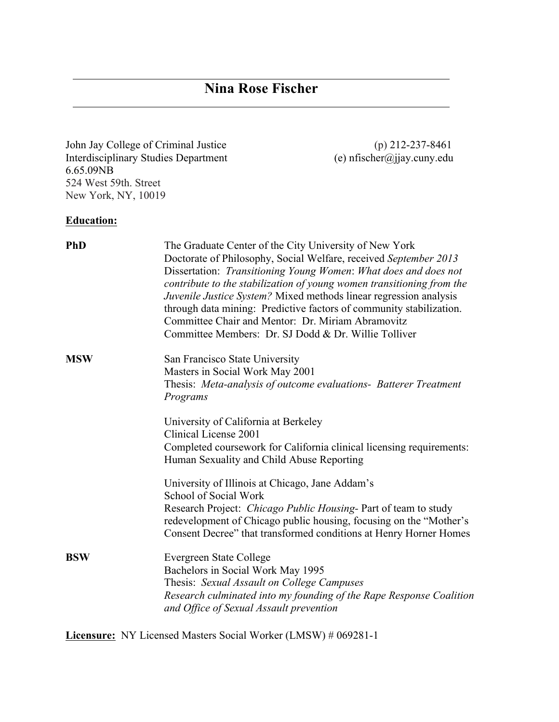John Jay College of Criminal Justice (p) 212-237-8461<br>Interdisciplinary Studies Department (e) nfischer@jjay.cuny.edu Interdisciplinary Studies Department 6.65.09NB 524 West 59th. Street New York, NY, 10019

### **Education:**

| <b>PhD</b> | The Graduate Center of the City University of New York<br>Doctorate of Philosophy, Social Welfare, received September 2013<br>Dissertation: Transitioning Young Women: What does and does not<br>contribute to the stabilization of young women transitioning from the<br>Juvenile Justice System? Mixed methods linear regression analysis<br>through data mining: Predictive factors of community stabilization.<br>Committee Chair and Mentor: Dr. Miriam Abramovitz<br>Committee Members: Dr. SJ Dodd & Dr. Willie Tolliver |
|------------|---------------------------------------------------------------------------------------------------------------------------------------------------------------------------------------------------------------------------------------------------------------------------------------------------------------------------------------------------------------------------------------------------------------------------------------------------------------------------------------------------------------------------------|
| <b>MSW</b> | San Francisco State University                                                                                                                                                                                                                                                                                                                                                                                                                                                                                                  |
|            | Masters in Social Work May 2001                                                                                                                                                                                                                                                                                                                                                                                                                                                                                                 |
|            | Thesis: Meta-analysis of outcome evaluations- Batterer Treatment<br>Programs                                                                                                                                                                                                                                                                                                                                                                                                                                                    |
|            | University of California at Berkeley<br>Clinical License 2001                                                                                                                                                                                                                                                                                                                                                                                                                                                                   |
|            | Completed coursework for California clinical licensing requirements:<br>Human Sexuality and Child Abuse Reporting                                                                                                                                                                                                                                                                                                                                                                                                               |
|            | University of Illinois at Chicago, Jane Addam's<br>School of Social Work                                                                                                                                                                                                                                                                                                                                                                                                                                                        |
|            | Research Project: Chicago Public Housing- Part of team to study                                                                                                                                                                                                                                                                                                                                                                                                                                                                 |
|            | redevelopment of Chicago public housing, focusing on the "Mother's<br>Consent Decree" that transformed conditions at Henry Horner Homes                                                                                                                                                                                                                                                                                                                                                                                         |
| <b>BSW</b> | <b>Evergreen State College</b><br>Bachelors in Social Work May 1995<br>Thesis: Sexual Assault on College Campuses<br>Research culminated into my founding of the Rape Response Coalition<br>and Office of Sexual Assault prevention                                                                                                                                                                                                                                                                                             |

**Licensure:** NY Licensed Masters Social Worker (LMSW) # 069281-1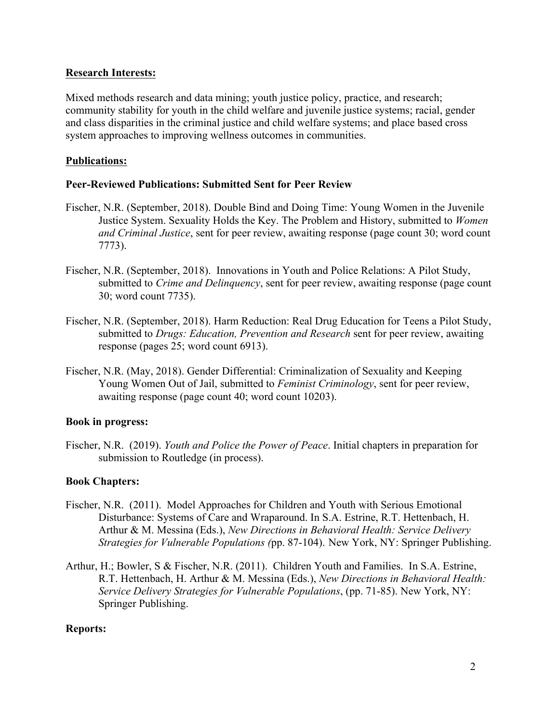#### **Research Interests:**

Mixed methods research and data mining; youth justice policy, practice, and research; community stability for youth in the child welfare and juvenile justice systems; racial, gender and class disparities in the criminal justice and child welfare systems; and place based cross system approaches to improving wellness outcomes in communities.

### **Publications:**

### **Peer-Reviewed Publications: Submitted Sent for Peer Review**

- Fischer, N.R. (September, 2018). Double Bind and Doing Time: Young Women in the Juvenile Justice System. Sexuality Holds the Key. The Problem and History, submitted to *Women and Criminal Justice*, sent for peer review, awaiting response (page count 30; word count 7773).
- Fischer, N.R. (September, 2018). Innovations in Youth and Police Relations: A Pilot Study, submitted to *Crime and Delinquency*, sent for peer review, awaiting response (page count 30; word count 7735).
- Fischer, N.R. (September, 2018). Harm Reduction: Real Drug Education for Teens a Pilot Study, submitted to *Drugs: Education, Prevention and Research* sent for peer review, awaiting response (pages 25; word count 6913).
- Fischer, N.R. (May, 2018). Gender Differential: Criminalization of Sexuality and Keeping Young Women Out of Jail, submitted to *Feminist Criminology*, sent for peer review, awaiting response (page count 40; word count 10203).

#### **Book in progress:**

Fischer, N.R. (2019). *Youth and Police the Power of Peace*. Initial chapters in preparation for submission to Routledge (in process).

#### **Book Chapters:**

- Fischer, N.R. (2011). Model Approaches for Children and Youth with Serious Emotional Disturbance: Systems of Care and Wraparound. In S.A. Estrine, R.T. Hettenbach, H. Arthur & M. Messina (Eds.), *New Directions in Behavioral Health: Service Delivery Strategies for Vulnerable Populations (*pp. 87-104). New York, NY: Springer Publishing.
- Arthur, H.; Bowler, S & Fischer, N.R. (2011). Children Youth and Families. In S.A. Estrine, R.T. Hettenbach, H. Arthur & M. Messina (Eds.), *New Directions in Behavioral Health: Service Delivery Strategies for Vulnerable Populations*, (pp. 71-85). New York, NY: Springer Publishing.

#### **Reports:**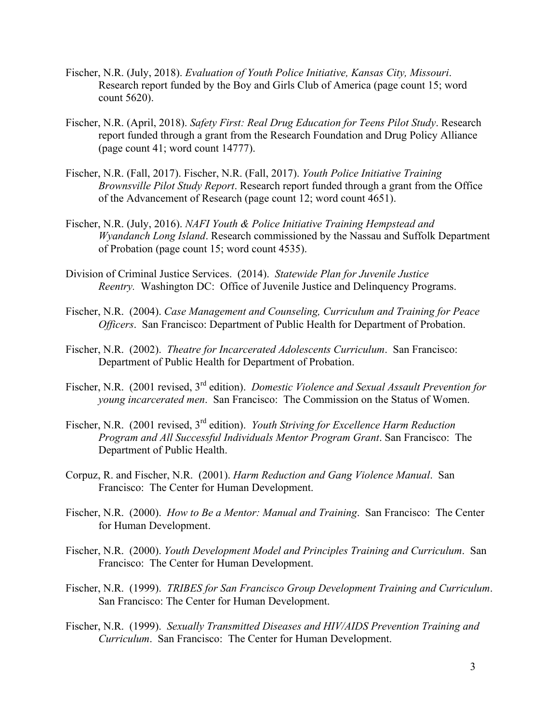- Fischer, N.R. (July, 2018). *Evaluation of Youth Police Initiative, Kansas City, Missouri*. Research report funded by the Boy and Girls Club of America (page count 15; word count 5620).
- Fischer, N.R. (April, 2018). *Safety First: Real Drug Education for Teens Pilot Study*. Research report funded through a grant from the Research Foundation and Drug Policy Alliance (page count 41; word count 14777).
- Fischer, N.R. (Fall, 2017). Fischer, N.R. (Fall, 2017). *Youth Police Initiative Training Brownsville Pilot Study Report*. Research report funded through a grant from the Office of the Advancement of Research (page count 12; word count 4651).
- Fischer, N.R. (July, 2016). *NAFI Youth & Police Initiative Training Hempstead and Wyandanch Long Island*. Research commissioned by the Nassau and Suffolk Department of Probation (page count 15; word count 4535).
- Division of Criminal Justice Services. (2014). *Statewide Plan for Juvenile Justice Reentry.* Washington DC: Office of Juvenile Justice and Delinquency Programs.
- Fischer, N.R. (2004). *Case Management and Counseling, Curriculum and Training for Peace Officers*. San Francisco: Department of Public Health for Department of Probation.
- Fischer, N.R. (2002). *Theatre for Incarcerated Adolescents Curriculum*. San Francisco: Department of Public Health for Department of Probation.
- Fischer, N.R. (2001 revised, 3rd edition). *Domestic Violence and Sexual Assault Prevention for young incarcerated men*. San Francisco: The Commission on the Status of Women.
- Fischer, N.R. (2001 revised, 3rd edition). *Youth Striving for Excellence Harm Reduction Program and All Successful Individuals Mentor Program Grant*. San Francisco: The Department of Public Health.
- Corpuz, R. and Fischer, N.R. (2001). *Harm Reduction and Gang Violence Manual*. San Francisco: The Center for Human Development.
- Fischer, N.R. (2000). *How to Be a Mentor: Manual and Training*. San Francisco: The Center for Human Development.
- Fischer, N.R. (2000). *Youth Development Model and Principles Training and Curriculum*. San Francisco: The Center for Human Development.
- Fischer, N.R. (1999).*TRIBES for San Francisco Group Development Training and Curriculum*. San Francisco: The Center for Human Development.
- Fischer, N.R. (1999). *Sexually Transmitted Diseases and HIV/AIDS Prevention Training and Curriculum*. San Francisco: The Center for Human Development.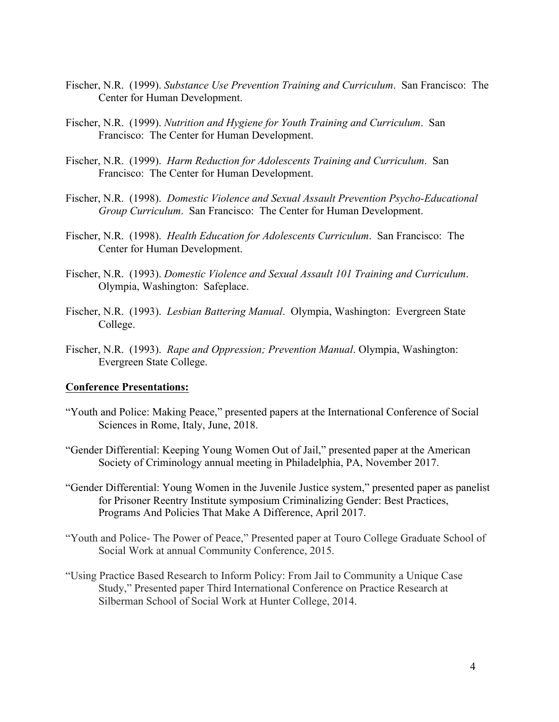- Fischer, N.R. (1999). *Substance Use Prevention Training and Curriculum*. San Francisco: The Center for Human Development.
- Fischer, N.R. (1999). *Nutrition and Hygiene for Youth Training and Curriculum*. San Francisco: The Center for Human Development.
- Fischer, N.R. (1999). *Harm Reduction for Adolescents Training and Curriculum*. San Francisco: The Center for Human Development.
- Fischer, N.R. (1998). *Domestic Violence and Sexual Assault Prevention Psycho-Educational Group Curriculum*. San Francisco: The Center for Human Development.
- Fischer, N.R. (1998). *Health Education for Adolescents Curriculum*. San Francisco: The Center for Human Development.
- Fischer, N.R. (1993). *Domestic Violence and Sexual Assault 101 Training and Curriculum*. Olympia, Washington: Safeplace.
- Fischer, N.R. (1993). *Lesbian Battering Manual*. Olympia, Washington: Evergreen State College.
- Fischer, N.R. (1993). *Rape and Oppression; Prevention Manual*. Olympia, Washington: Evergreen State College.

#### **Conference Presentations:**

- "Youth and Police: Making Peace," presented papers at the International Conference of Social Sciences in Rome, Italy, June, 2018.
- "Gender Differential: Keeping Young Women Out of Jail," presented paper at the American Society of Criminology annual meeting in Philadelphia, PA, November 2017.
- "Gender Differential: Young Women in the Juvenile Justice system," presented paper as panelist for Prisoner Reentry Institute symposium Criminalizing Gender: Best Practices, Programs And Policies That Make A Difference, April 2017.
- "Youth and Police- The Power of Peace," Presented paper at Touro College Graduate School of Social Work at annual Community Conference, 2015.
- "Using Practice Based Research to Inform Policy: From Jail to Community a Unique Case Study," Presented paper Third International Conference on Practice Research at Silberman School of Social Work at Hunter College, 2014.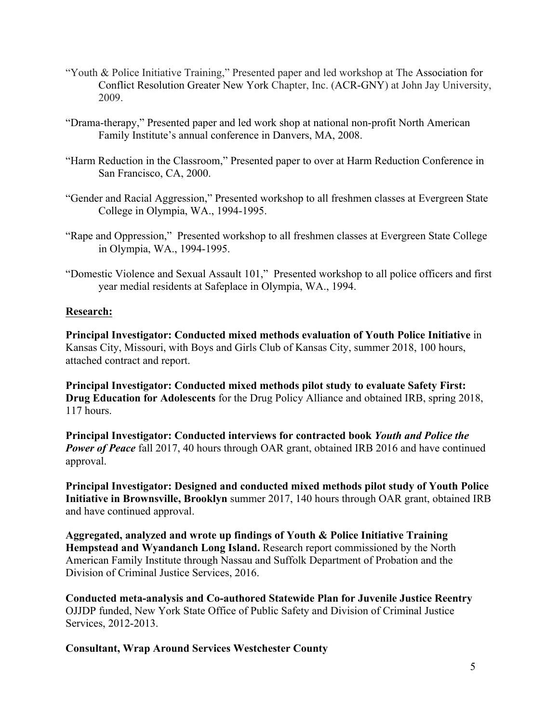- "Youth & Police Initiative Training," Presented paper and led workshop at The Association for Conflict Resolution Greater New York Chapter, Inc. (ACR-GNY) at John Jay University, 2009.
- "Drama-therapy," Presented paper and led work shop at national non-profit North American Family Institute's annual conference in Danvers, MA, 2008.
- "Harm Reduction in the Classroom," Presented paper to over at Harm Reduction Conference in San Francisco, CA, 2000.
- "Gender and Racial Aggression," Presented workshop to all freshmen classes at Evergreen State College in Olympia, WA., 1994-1995.
- "Rape and Oppression," Presented workshop to all freshmen classes at Evergreen State College in Olympia, WA., 1994-1995.
- "Domestic Violence and Sexual Assault 101," Presented workshop to all police officers and first year medial residents at Safeplace in Olympia, WA., 1994.

# **Research:**

**Principal Investigator: Conducted mixed methods evaluation of Youth Police Initiative** in Kansas City, Missouri, with Boys and Girls Club of Kansas City, summer 2018, 100 hours, attached contract and report.

**Principal Investigator: Conducted mixed methods pilot study to evaluate Safety First: Drug Education for Adolescents** for the Drug Policy Alliance and obtained IRB, spring 2018, 117 hours.

**Principal Investigator: Conducted interviews for contracted book** *Youth and Police the*  **Power of Peace** fall 2017, 40 hours through OAR grant, obtained IRB 2016 and have continued approval.

**Principal Investigator: Designed and conducted mixed methods pilot study of Youth Police Initiative in Brownsville, Brooklyn** summer 2017, 140 hours through OAR grant, obtained IRB and have continued approval.

**Aggregated, analyzed and wrote up findings of Youth & Police Initiative Training Hempstead and Wyandanch Long Island.** Research report commissioned by the North American Family Institute through Nassau and Suffolk Department of Probation and the Division of Criminal Justice Services, 2016.

**Conducted meta-analysis and Co-authored Statewide Plan for Juvenile Justice Reentry** OJJDP funded, New York State Office of Public Safety and Division of Criminal Justice Services, 2012-2013.

**Consultant, Wrap Around Services Westchester County**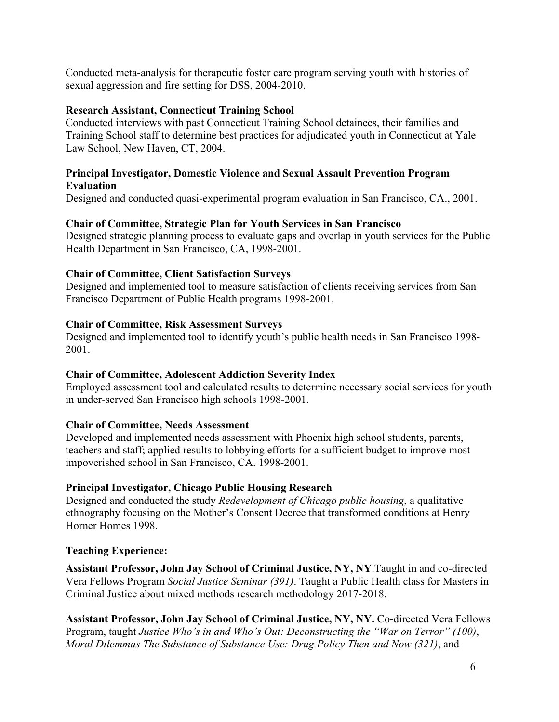Conducted meta-analysis for therapeutic foster care program serving youth with histories of sexual aggression and fire setting for DSS, 2004-2010.

### **Research Assistant, Connecticut Training School**

Conducted interviews with past Connecticut Training School detainees, their families and Training School staff to determine best practices for adjudicated youth in Connecticut at Yale Law School, New Haven, CT, 2004.

### **Principal Investigator, Domestic Violence and Sexual Assault Prevention Program Evaluation**

Designed and conducted quasi-experimental program evaluation in San Francisco, CA., 2001.

### **Chair of Committee, Strategic Plan for Youth Services in San Francisco**

Designed strategic planning process to evaluate gaps and overlap in youth services for the Public Health Department in San Francisco, CA, 1998-2001.

### **Chair of Committee, Client Satisfaction Surveys**

Designed and implemented tool to measure satisfaction of clients receiving services from San Francisco Department of Public Health programs 1998-2001.

### **Chair of Committee, Risk Assessment Surveys**

Designed and implemented tool to identify youth's public health needs in San Francisco 1998- 2001.

#### **Chair of Committee, Adolescent Addiction Severity Index**

Employed assessment tool and calculated results to determine necessary social services for youth in under-served San Francisco high schools 1998-2001.

# **Chair of Committee, Needs Assessment**

Developed and implemented needs assessment with Phoenix high school students, parents, teachers and staff; applied results to lobbying efforts for a sufficient budget to improve most impoverished school in San Francisco, CA. 1998-2001.

# **Principal Investigator, Chicago Public Housing Research**

Designed and conducted the study *Redevelopment of Chicago public housing*, a qualitative ethnography focusing on the Mother's Consent Decree that transformed conditions at Henry Horner Homes 1998.

#### **Teaching Experience:**

**Assistant Professor, John Jay School of Criminal Justice, NY, NY**.Taught in and co-directed Vera Fellows Program *Social Justice Seminar (391)*. Taught a Public Health class for Masters in Criminal Justice about mixed methods research methodology 2017-2018.

**Assistant Professor, John Jay School of Criminal Justice, NY, NY.** Co-directed Vera Fellows Program, taught *Justice Who's in and Who's Out: Deconstructing the "War on Terror" (100)*, *Moral Dilemmas The Substance of Substance Use: Drug Policy Then and Now (321)*, and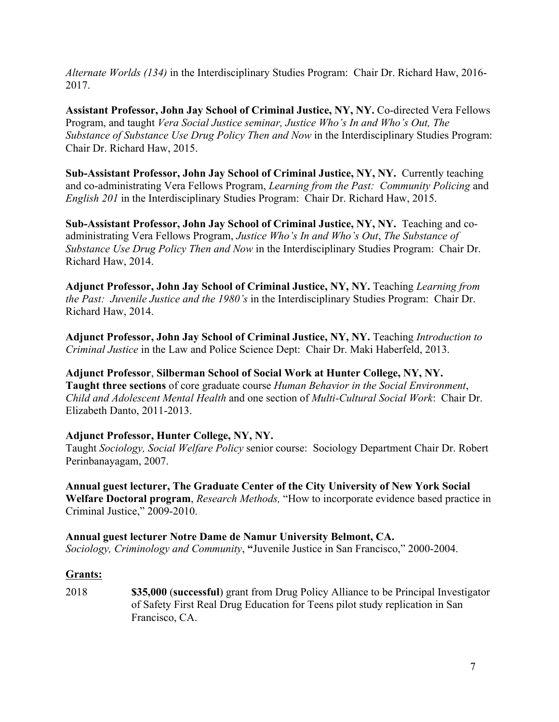*Alternate Worlds (134)* in the Interdisciplinary Studies Program: Chair Dr. Richard Haw, 2016- 2017.

**Assistant Professor, John Jay School of Criminal Justice, NY, NY.** Co-directed Vera Fellows Program, and taught *Vera Social Justice seminar, Justice Who's In and Who's Out, The Substance of Substance Use Drug Policy Then and Now* in the Interdisciplinary Studies Program: Chair Dr. Richard Haw, 2015.

**Sub-Assistant Professor, John Jay School of Criminal Justice, NY, NY.** Currently teaching and co-administrating Vera Fellows Program, *Learning from the Past: Community Policing* and *English 201* in the Interdisciplinary Studies Program: Chair Dr. Richard Haw, 2015.

**Sub-Assistant Professor, John Jay School of Criminal Justice, NY, NY.** Teaching and coadministrating Vera Fellows Program, *Justice Who's In and Who's Out*, *The Substance of Substance Use Drug Policy Then and Now* in the Interdisciplinary Studies Program: Chair Dr. Richard Haw, 2014.

**Adjunct Professor, John Jay School of Criminal Justice, NY, NY.** Teaching *Learning from the Past: Juvenile Justice and the 1980's* in the Interdisciplinary Studies Program: Chair Dr. Richard Haw, 2014.

**Adjunct Professor, John Jay School of Criminal Justice, NY, NY.** Teaching *Introduction to Criminal Justice* in the Law and Police Science Dept: Chair Dr. Maki Haberfeld, 2013.

**Adjunct Professor**, **Silberman School of Social Work at Hunter College, NY, NY. Taught three sections** of core graduate course *Human Behavior in the Social Environment*, *Child and Adolescent Mental Health* and one section of *Multi-Cultural Social Work*: Chair Dr. Elizabeth Danto, 2011-2013.

# **Adjunct Professor, Hunter College, NY, NY.**

Taught *Sociology, Social Welfare Policy* senior course: Sociology Department Chair Dr. Robert Perinbanayagam, 2007.

**Annual guest lecturer, The Graduate Center of the City University of New York Social Welfare Doctoral program**, *Research Methods,* "How to incorporate evidence based practice in Criminal Justice," 2009-2010.

**Annual guest lecturer Notre Dame de Namur University Belmont, CA.** *Sociology, Criminology and Community*, **"**Juvenile Justice in San Francisco," 2000-2004.

#### **Grants:**

2018 **\$35,000** (**successful**) grant from Drug Policy Alliance to be Principal Investigator of Safety First Real Drug Education for Teens pilot study replication in San Francisco, CA.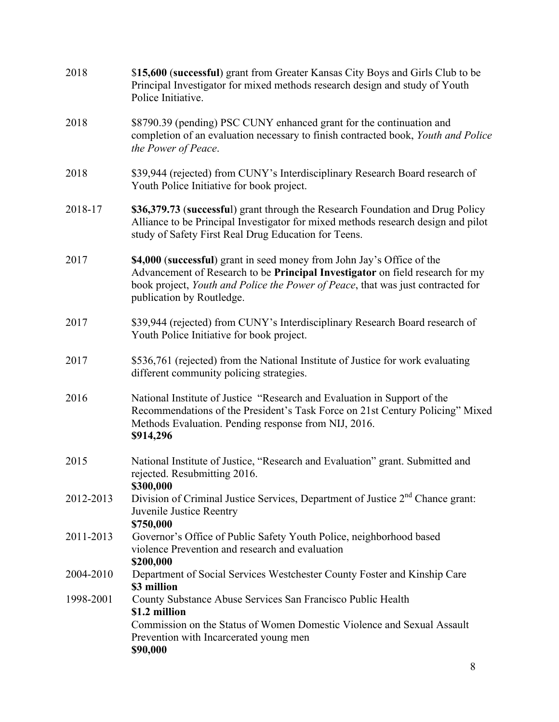| 2018      | \$15,600 (successful) grant from Greater Kansas City Boys and Girls Club to be<br>Principal Investigator for mixed methods research design and study of Youth<br>Police Initiative.                                                                                     |
|-----------|-------------------------------------------------------------------------------------------------------------------------------------------------------------------------------------------------------------------------------------------------------------------------|
| 2018      | \$8790.39 (pending) PSC CUNY enhanced grant for the continuation and<br>completion of an evaluation necessary to finish contracted book, Youth and Police<br>the Power of Peace.                                                                                        |
| 2018      | \$39,944 (rejected) from CUNY's Interdisciplinary Research Board research of<br>Youth Police Initiative for book project.                                                                                                                                               |
| 2018-17   | \$36,379.73 (successful) grant through the Research Foundation and Drug Policy<br>Alliance to be Principal Investigator for mixed methods research design and pilot<br>study of Safety First Real Drug Education for Teens.                                             |
| 2017      | \$4,000 (successful) grant in seed money from John Jay's Office of the<br>Advancement of Research to be Principal Investigator on field research for my<br>book project, Youth and Police the Power of Peace, that was just contracted for<br>publication by Routledge. |
| 2017      | \$39,944 (rejected) from CUNY's Interdisciplinary Research Board research of<br>Youth Police Initiative for book project.                                                                                                                                               |
| 2017      | \$536,761 (rejected) from the National Institute of Justice for work evaluating<br>different community policing strategies.                                                                                                                                             |
| 2016      | National Institute of Justice "Research and Evaluation in Support of the<br>Recommendations of the President's Task Force on 21st Century Policing" Mixed<br>Methods Evaluation. Pending response from NIJ, 2016.<br>\$914,296                                          |
| 2015      | National Institute of Justice, "Research and Evaluation" grant. Submitted and<br>rejected. Resubmitting 2016.<br>\$300,000                                                                                                                                              |
| 2012-2013 | Division of Criminal Justice Services, Department of Justice 2 <sup>nd</sup> Chance grant:<br>Juvenile Justice Reentry<br>\$750,000                                                                                                                                     |
| 2011-2013 | Governor's Office of Public Safety Youth Police, neighborhood based<br>violence Prevention and research and evaluation<br>\$200,000                                                                                                                                     |
| 2004-2010 | Department of Social Services Westchester County Foster and Kinship Care<br>\$3 million                                                                                                                                                                                 |
| 1998-2001 | County Substance Abuse Services San Francisco Public Health                                                                                                                                                                                                             |
|           | \$1.2 million<br>Commission on the Status of Women Domestic Violence and Sexual Assault<br>Prevention with Incarcerated young men<br>\$90,000                                                                                                                           |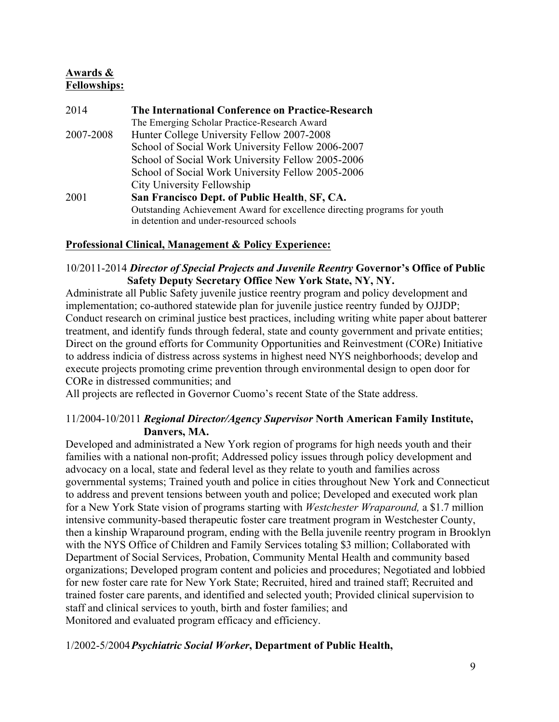# **Awards & Fellowships:**

2014 **The International Conference on Practice-Research** The Emerging Scholar Practice-Research Award 2007-2008 Hunter College University Fellow 2007-2008 School of Social Work University Fellow 2006-2007 School of Social Work University Fellow 2005-2006 School of Social Work University Fellow 2005-2006 City University Fellowship 2001 **San Francisco Dept. of Public Health**, **SF, CA.** Outstanding Achievement Award for excellence directing programs for youth in detention and under-resourced schools

# **Professional Clinical, Management & Policy Experience:**

# 10/2011-2014 *Director of Special Projects and Juvenile Reentry* **Governor's Office of Public Safety Deputy Secretary Office New York State, NY, NY.**

Administrate all Public Safety juvenile justice reentry program and policy development and implementation; co-authored statewide plan for juvenile justice reentry funded by OJJDP; Conduct research on criminal justice best practices, including writing white paper about batterer treatment, and identify funds through federal, state and county government and private entities; Direct on the ground efforts for Community Opportunities and Reinvestment (CORe) Initiative to address indicia of distress across systems in highest need NYS neighborhoods; develop and execute projects promoting crime prevention through environmental design to open door for CORe in distressed communities; and

All projects are reflected in Governor Cuomo's recent State of the State address.

# 11/2004-10/2011 *Regional Director/Agency Supervisor* **North American Family Institute, Danvers, MA.**

Developed and administrated a New York region of programs for high needs youth and their families with a national non-profit; Addressed policy issues through policy development and advocacy on a local, state and federal level as they relate to youth and families across governmental systems; Trained youth and police in cities throughout New York and Connecticut to address and prevent tensions between youth and police; Developed and executed work plan for a New York State vision of programs starting with *Westchester Wraparound,* a \$1.7 million intensive community-based therapeutic foster care treatment program in Westchester County, then a kinship Wraparound program, ending with the Bella juvenile reentry program in Brooklyn with the NYS Office of Children and Family Services totaling \$3 million; Collaborated with Department of Social Services, Probation, Community Mental Health and community based organizations; Developed program content and policies and procedures; Negotiated and lobbied for new foster care rate for New York State; Recruited, hired and trained staff; Recruited and trained foster care parents, and identified and selected youth; Provided clinical supervision to staff and clinical services to youth, birth and foster families; and Monitored and evaluated program efficacy and efficiency.

# 1/2002-5/2004*Psychiatric Social Worker***, Department of Public Health,**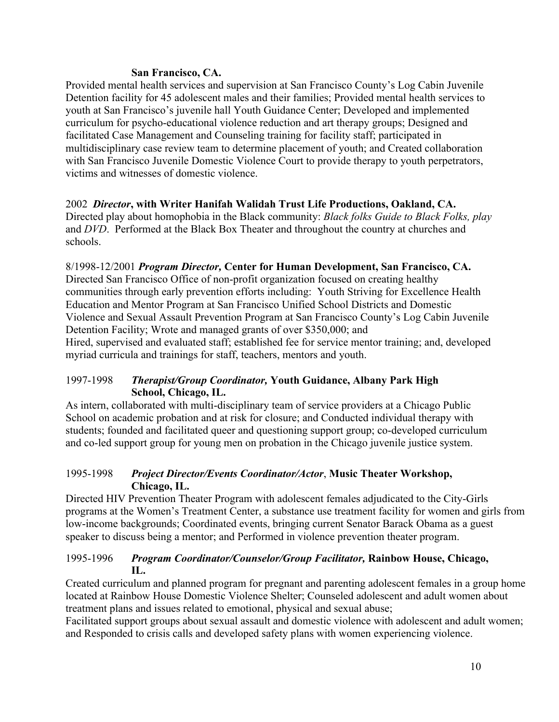# **San Francisco, CA.**

Provided mental health services and supervision at San Francisco County's Log Cabin Juvenile Detention facility for 45 adolescent males and their families; Provided mental health services to youth at San Francisco's juvenile hall Youth Guidance Center; Developed and implemented curriculum for psycho-educational violence reduction and art therapy groups; Designed and facilitated Case Management and Counseling training for facility staff; participated in multidisciplinary case review team to determine placement of youth; and Created collaboration with San Francisco Juvenile Domestic Violence Court to provide therapy to youth perpetrators, victims and witnesses of domestic violence.

# 2002 *Director***, with Writer Hanifah Walidah Trust Life Productions, Oakland, CA.**

Directed play about homophobia in the Black community: *Black folks Guide to Black Folks, play*  and *DVD*. Performed at the Black Box Theater and throughout the country at churches and schools.

# 8/1998-12/2001 *Program Director,* **Center for Human Development, San Francisco, CA.**

Directed San Francisco Office of non-profit organization focused on creating healthy communities through early prevention efforts including: Youth Striving for Excellence Health Education and Mentor Program at San Francisco Unified School Districts and Domestic Violence and Sexual Assault Prevention Program at San Francisco County's Log Cabin Juvenile Detention Facility; Wrote and managed grants of over \$350,000; and

Hired, supervised and evaluated staff; established fee for service mentor training; and, developed myriad curricula and trainings for staff, teachers, mentors and youth.

# 1997-1998 *Therapist/Group Coordinator,* **Youth Guidance, Albany Park High School, Chicago, IL.**

As intern, collaborated with multi-disciplinary team of service providers at a Chicago Public School on academic probation and at risk for closure; and Conducted individual therapy with students; founded and facilitated queer and questioning support group; co-developed curriculum and co-led support group for young men on probation in the Chicago juvenile justice system.

# 1995-1998 *Project Director/Events Coordinator/Actor*, **Music Theater Workshop, Chicago, IL.**

Directed HIV Prevention Theater Program with adolescent females adjudicated to the City-Girls programs at the Women's Treatment Center, a substance use treatment facility for women and girls from low-income backgrounds; Coordinated events, bringing current Senator Barack Obama as a guest speaker to discuss being a mentor; and Performed in violence prevention theater program.

# 1995-1996 *Program Coordinator/Counselor/Group Facilitator,* **Rainbow House, Chicago, IL.**

Created curriculum and planned program for pregnant and parenting adolescent females in a group home located at Rainbow House Domestic Violence Shelter; Counseled adolescent and adult women about treatment plans and issues related to emotional, physical and sexual abuse;

Facilitated support groups about sexual assault and domestic violence with adolescent and adult women; and Responded to crisis calls and developed safety plans with women experiencing violence.